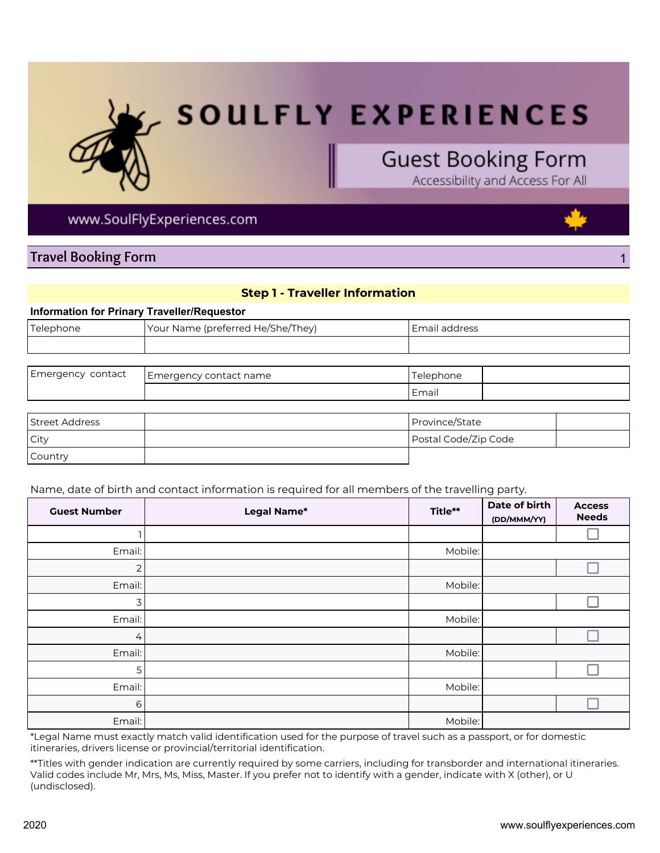

# **SOULFLY EXPERIENCES**

## **Guest Booking Form**

Accessibility and Access For All

### www.SoulFlyExperiences.com

### Travel Booking Form 1

## Information for Prinary Traveller/Requestor Telephone **The Vour Name (preferred He/She/They)** Name **Email address**

| Emergency contact | Emergency contact name | Telephone |  |
|-------------------|------------------------|-----------|--|
|                   |                        | Email     |  |

Step 1 - Traveller Information

| <b>Street Address</b> | Province/State       |  |
|-----------------------|----------------------|--|
| City                  | Postal Code/Zip Code |  |
| Country               |                      |  |

Name, date of birth and contact information is required for all members of the travelling party.

| <b>Guest Number</b> | Legal Name* | Title** | Date of birth<br>(DD/MMM/YY) | <b>Access</b><br><b>Needs</b> |
|---------------------|-------------|---------|------------------------------|-------------------------------|
|                     |             |         |                              |                               |
| Email:              |             | Mobile: |                              |                               |
| 2                   |             |         |                              |                               |
| Email:              |             | Mobile: |                              |                               |
| 3                   |             |         |                              |                               |
| Email:              |             | Mobile: |                              |                               |
| $\overline{4}$      |             |         |                              |                               |
| Email:              |             | Mobile: |                              |                               |
| 5                   |             |         |                              |                               |
| Email:              |             | Mobile: |                              |                               |
| 6                   |             |         |                              |                               |
| Email:              |             | Mobile: |                              |                               |

\*Legal Name must exactly match valid identification used for the purpose of travel such as a passport, or for domestic itineraries, drivers license or provincial/territorial identification.

\*\*Titles with gender indication are currently required by some carriers, including for transborder and international itineraries. Valid codes include Mr, Mrs, Ms, Miss, Master. If you prefer not to identify with a gender, indicate with X (other), or U (undisclosed).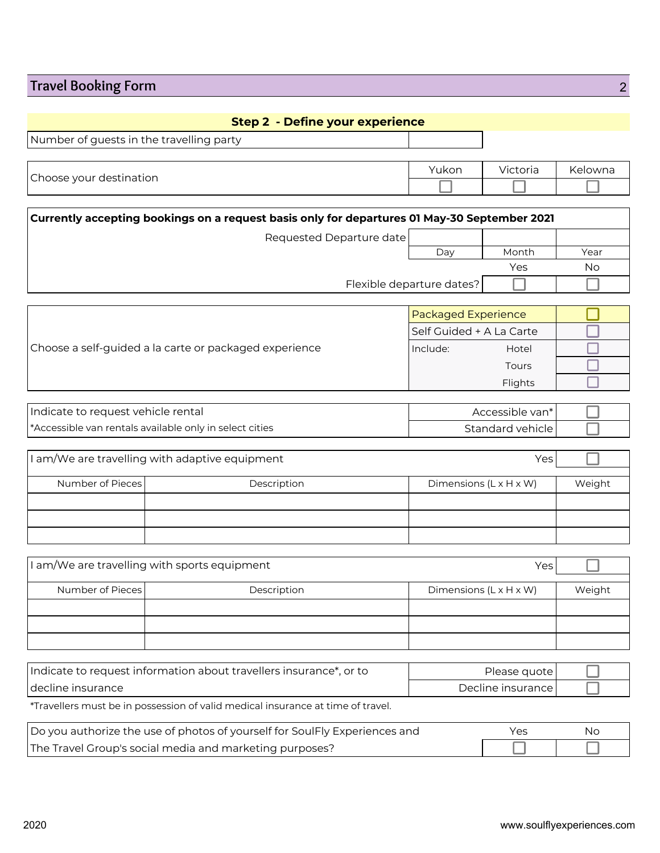## **Travel Booking Form 22**

| <b>Step 2 - Define your experience</b>                                                       |                            |                  |           |
|----------------------------------------------------------------------------------------------|----------------------------|------------------|-----------|
| Number of guests in the travelling party                                                     |                            |                  |           |
|                                                                                              |                            |                  |           |
| Choose your destination                                                                      | Yukon                      | Victoria         | Kelowna   |
|                                                                                              |                            |                  |           |
|                                                                                              |                            |                  |           |
| Currently accepting bookings on a request basis only for departures 01 May-30 September 2021 |                            |                  |           |
| Requested Departure date                                                                     |                            |                  |           |
|                                                                                              | Day                        | Month            | Year      |
|                                                                                              |                            | Yes              | <b>No</b> |
|                                                                                              | Flexible departure dates?  |                  |           |
|                                                                                              |                            |                  |           |
|                                                                                              | <b>Packaged Experience</b> |                  |           |
|                                                                                              | Self Guided + A La Carte   |                  |           |
| Choose a self-guided a la carte or packaged experience                                       | Include:                   | Hotel            |           |
|                                                                                              |                            | Tours            |           |
|                                                                                              |                            | Flights          |           |
|                                                                                              |                            |                  |           |
| Indicate to request vehicle rental                                                           |                            | Accessible van*  |           |
| *Accessible van rentals available only in select cities                                      |                            | Standard vehicle |           |

|                  | I am/We are travelling with adaptive equipment | Yes                                |        |
|------------------|------------------------------------------------|------------------------------------|--------|
|                  |                                                |                                    |        |
| Number of Pieces | Description                                    | Dimensions $(L \times H \times W)$ | Weight |
|                  |                                                |                                    |        |
|                  |                                                |                                    |        |
|                  |                                                |                                    |        |

|                  | I am/We are travelling with sports equipment | Yes                                |        |
|------------------|----------------------------------------------|------------------------------------|--------|
|                  |                                              |                                    |        |
| Number of Pieces | Description                                  | Dimensions $(L \times H \times W)$ | Weight |
|                  |                                              |                                    |        |
|                  |                                              |                                    |        |
|                  |                                              |                                    |        |

| I Indicate to request information about travellers insurance*, or to | Please quote l      |  |
|----------------------------------------------------------------------|---------------------|--|
| I decline insurance :                                                | Decline insurance l |  |

\*Travellers must be in possession of valid medical insurance at time of travel.

| Do you authorize the use of photos of yourself for SoulFly Experiences and |  | Nс |
|----------------------------------------------------------------------------|--|----|
| The Travel Group's social media and marketing purposes?                    |  |    |